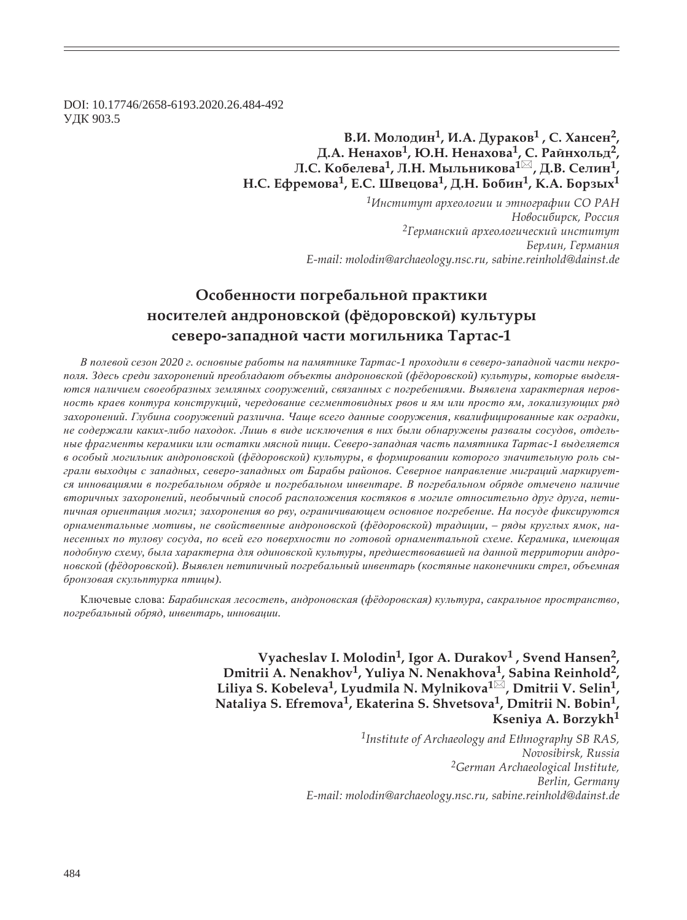DOI: 10.17746/2658-6193.2020.26.484-492 **УДК 903.5** 

# **ǰ.Ƕ. ǺȜșȜȒȖț1, Ƕ.Ǯ. DzȡȞȎȘȜȐ1 , ǿ. ȃȎțȟȓț2,**  Д.А. Ненахов<sup>1</sup>, Ю.Н. Ненахова<sup>1</sup>, С. Райнхольд<sup>2</sup>  $\overline{J}$ **.C.** Кобелева<sup>1</sup>, Л.Н. Мыльникова<sup>1⊠</sup>, Д.В. Селин<sup>1</sup> Н.С. Ефремова<sup>1</sup>, Е.С. Швецова<sup>1</sup>, Д.Н. Бобин<sup>1</sup>, К.А. Борзых<sup>1</sup>

*<sup>1</sup>ǶțȟȠȖȠȡȠ ȎȞȣȓȜșȜȑȖȖ Ȗ ȫȠțȜȑȞȎȢȖȖ ǿǼ ǾǮǻ*  $H$ овосибирск, Россия <sup>2</sup>Германский археологический институт Берлин, Германия *E-mail: molodin@archaeology.nsc.ru, sabine.reinhold@dainst.de* 

# Особенности погребальной практики **посителей андроновской (фёдоровской) культуры ȟȓȐȓȞȜ-ȕȎȝȎȒțȜȗ ȥȎȟȠȖ ȚȜȑȖșȪțȖȘȎ ȀȎȞȠȎȟ-1**

В полевой сезон 2020 г. основные работы на памятнике Тартас-1 проходили в северо-западной части некрополя. Здесь среди захоронений преобладают объекты андроновской (фёдоровской) культуры, которые выделяются наличием своеобразных земляных сооружений, связанных с погребениями. Выявлена характерная неров- $H$ ость краев контура конструкций, чередование сегментовидных рвов и ям или просто ям, локализующих ряд захоронений. Глубина сооружений различна. Чаще всего данные сооружения, квалифицированные как оградки, не содержали каких-либо находок. Лишь в виде исключения в них были обнаружены развалы сосудов, отдель*ɧɵɟ ɮɪɚɝɦɟɧɬɵ ɤɟɪɚɦɢɤɢ ɢɥɢ ɨɫɬɚɬɤɢ ɦɹɫɧɨɣ ɩɢɳɢ. ɋɟɜɟɪɨ-ɡɚɩɚɞɧɚɹ ɱɚɫɬɶ ɩɚɦɹɬɧɢɤɚ Ɍɚɪɬɚɫ-1 ɜɵɞɟɥɹɟɬɫɹ ɜ ɨɫɨɛɵɣ ɦɨɝɢɥɶɧɢɤ ɚɧɞɪɨɧɨɜɫɤɨɣ (ɮɺɞɨɪɨɜɫɤɨɣ) ɤɭɥɶɬɭɪɵ, ɜ ɮɨɪɦɢɪɨɜɚɧɢɢ ɤɨɬɨɪɨɝɨ ɡɧɚɱɢɬɟɥɶɧɭɸ ɪɨɥɶ ɫɵ*грали выходцы с западных, северо-западных от Барабы районов. Северное направление миграций маркируется инновациями в погребальном обряде и погребальном инвентаре. В погребальном обряде отмечено наличие *ɜɬɨɪɢɱɧɵɯ ɡɚɯɨɪɨɧɟɧɢɣ, ɧɟɨɛɵɱɧɵɣ ɫɩɨɫɨɛ ɪɚɫɩɨɥɨɠɟɧɢɹ ɤɨɫɬɹɤɨɜ ɜ ɦɨɝɢɥɟ ɨɬɧɨɫɢɬɟɥɶɧɨ ɞɪɭɝ ɞɪɭɝɚ, ɧɟɬɢ*пичная ориентация могил; захоронения во рву, ограничивающем основное погребение. На посуде фиксируются  $op$ наментальные мотивы, не свойственные андроновской (фёдоровской) традиции, – ряды круглых ямок, нанесенных по тулову сосуда, по всей его поверхности по готовой орнаментальной схеме. Керамика, имеющая подобную схему, была характерна для одиновской культуры, предшествовавшей на данной территории андроновской (фёдоровской). Выявлен нетипичный погребальный инвентарь (костяные наконечники стрел, объемная  $6$ ронзовая скульптурка птицы).

Ключевые слова: Барабинская лесостепь, андроновская (фёдоровская) культура, сакральное пространство, погребальный обряд, инвентарь, инновашии.

> **Vyacheslav I. Molodin1, Igor A. Durakov1 , Svend Hansen2, Dmitrii A. Nenakhov1, Yuliya N. Nenakhova1, Sabina Reinhold2, Liliya S. Kobeleva1, Lyudmila N. Mylnikova1 , Dmitrii V. Selin1, Nataliya S. Efremova1, Ekaterina S. Shvetsova1, Dmitrii N. Bobin1, Kseniya A. Borzykh<sup>1</sup>**

> > *1Institute of Archaeology and Ethnography SB RAS, Novosibirsk, Russia 2German Archaeological Institute, Berlin, Germany E-mail: molodin@archaeology.nsc.ru, sabine.reinhold@dainst.de*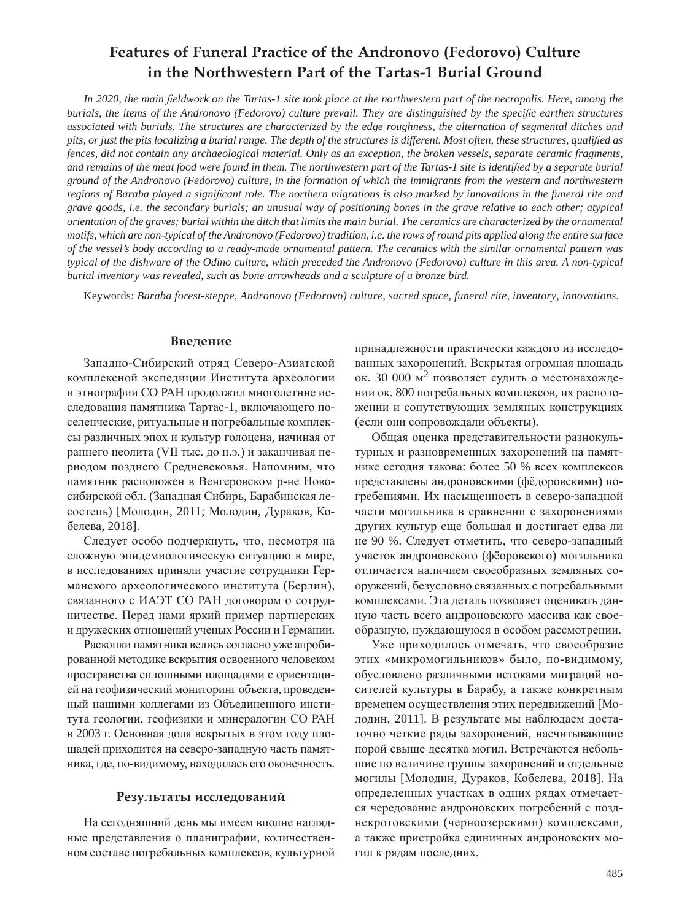# **Features of Funeral Practice of the Andronovo (Fedorovo) Culture in the Northwestern Part of the Tartas-1 Burial Ground**

*In 2020, the main fieldwork on the Tartas-1 site took place at the northwestern part of the necropolis. Here, among the burials, the items of the Andronovo (Fedorovo) culture prevail. They are distinguished by the specific earthen structures associated with burials. The structures are characterized by the edge roughness, the alternation of segmental ditches and pits, or just the pits localizing a burial range. The depth of the structures is different. Most often, these structures, qualified as fences, did not contain any archaeological material. Only as an exception, the broken vessels, separate ceramic fragments,*  and remains of the meat food were found in them. The northwestern part of the Tartas-1 site is identified by a separate burial *ground of the Andronovo (Fedorovo) culture, in the formation of which the immigrants from the western and northwestern regions of Baraba played a significant role. The northern migrations is also marked by innovations in the funeral rite and grave goods, i.e. the secondary burials; an unusual way of positioning bones in the grave relative to each other; atypical orientation of the graves; burial within the ditch that limits the main burial. The ceramics are characterized by the ornamental motifs, which are non-typical of the Andronovo (Fedorovo) tradition, i.e. the rows of round pits applied along the entire surface of the vessel's body according to a ready-made ornamental pattern. The ceramics with the similar ornamental pattern was typical of the dishware of the Odino culture, which preceded the Andronovo (Fedorovo) culture in this area. A non-typical burial inventory was revealed, such as bone arrowheads and a sculpture of a bronze bird.*

Keywords: *Baraba forest-steppe, Andronovo (Fedorovo) culture, sacred space, funeral rite, inventory, innovations.*

# **Введение**

Западно-Сибирский отряд Северо-Азиатской комплексной экспедиции Института археологии и этнографии СО РАН продолжил многолетние исследования памятника Тартас-1, включающего поселенческие, ритуальные и погребальные комплексы различных эпох и культур голоцена, начиная от раннего неолита (VII тыс. до н.э.) и заканчивая периодом позднего Средневековья. Напомним, что памятник расположен в Венгеровском р-не Новосибирской обл. (Западная Сибирь, Барабинская лесостепь) [Молодин, 2011; Молодин, Дураков, Кобелева, 2018].

Следует особо подчеркнуть, что, несмотря на сложную эпидемиологическую ситуацию в мире, в исследованиях приняли участие сотрудники Германского археологического института (Берлин), связанного с ИАЭТ СО РАН договором о сотрудничестве. Перед нами яркий пример партнерских и дружеских отношений ученых России и Германии.

Раскопки памятника велись согласно уже апробированной методике вскрытия освоенного человеком пространства сплошными площадями с ориентацией на геофизический мониторинг объекта, проведенный нашими коллегами из Объединенного института геологии, геофизики и минералогии СО РАН в 2003 г. Основная доля вскрытых в этом году площадей приходится на северо-западную часть памятника, где, по-видимому, находилась его оконечность.

#### Результаты исследований

На сегодняшний день мы имеем вполне наглядные представления о планиграфии, количественном составе погребальных комплексов, культурной принадлежности практически каждого из исследованных захоронений. Вскрытая огромная площадь ок. 30 000  $\mu^2$  позволяет судить о местонахождении ок. 800 погребальных комплексов, их расположении и сопутствующих земляных конструкциях (если они сопровождали объекты).

Общая оценка представительности разнокультурных и разновременных захоронений на памятнике сегодня такова: более 50 % всех комплексов представлены андроновскими (фёдоровскими) погребениями. Их насыщенность в северо-западной части могильника в сравнении с захоронениями других культур еще большая и достигает едва ли не 90 %. Следует отметить, что северо-западный участок андроновского (фёоровского) могильника отличается наличием своеобразных земляных сооружений, безусловно связанных с погребальными комплексами. Эта деталь позволяет оценивать данную часть всего андроновского массива как своеобразную, нуждающуюся в особом рассмотрении.

Уже приходилось отмечать, что своеобразие этих «микромогильников» было, по-видимому, обусловлено различными истоками миграций носителей культуры в Барабу, а также конкретным временем осуществления этих передвижений [Молодин, 2011]. В результате мы наблюдаем достаточно четкие ряды захоронений, насчитывающие порой свыше десятка могил. Встречаются небольшие по величине группы захоронений и отдельные могилы [Молодин, Дураков, Кобелева, 2018]. На определенных участках в одних рядах отмечается чередование андроновских погребений с позднекротовскими (черноозерскими) комплексами, а также пристройка единичных андроновских могил к рядам последних.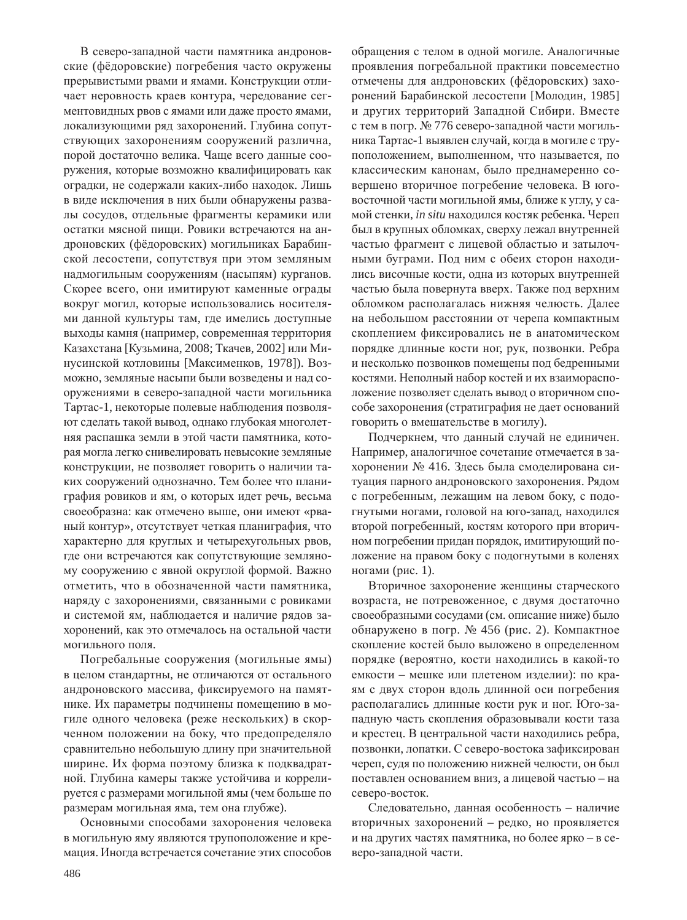В северо-западной части памятника андроновские (фёдоровские) погребения часто окружены прерывистыми рвами и ямами. Конструкции отличает неровность краев контура, чередование сегментовидных рвов с ямами или даже просто ямами, локализующими ряд захоронений. Глубина сопутствующих захоронениям сооружений различна, порой достаточно велика. Чаще всего данные сооружения, которые возможно квалифицировать как оградки, не содержали каких-либо находок. Лишь в виде исключения в них были обнаружены развалы сосудов, отдельные фрагменты керамики или остатки мясной пищи. Ровики встречаются на андроновских (фёдоровских) могильниках Барабинской лесостепи, сопутствуя при этом земляным надмогильным сооружениям (насыпям) курганов. Скорее всего, они имитируют каменные ограды вокруг могил, которые использовались носителями данной культуры там, где имелись доступные выходы камня (например, современная территория Казахстана [Кузьмина, 2008; Ткачев, 2002] или Минусинской котловины [Максименков, 1978]). Возможно, земляные насыпи были возведены и над сооружениями в северо-западной части могильника Тартас-1, некоторые полевые наблюдения позволяют сделать такой вывод, однако глубокая многолетняя распашка земли в этой части памятника, которая могла легко снивелировать невысокие земляные конструкции, не позволяет говорить о наличии таких сооружений однозначно. Тем более что планиграфия ровиков и ям, о которых идет речь, весьма своеобразна: как отмечено выше, они имеют «рваный контур», отсутствует четкая планиграфия, что характерно для круглых и четырехугольных рвов, где они встречаются как сопутствующие земляному сооружению с явной округлой формой. Важно отметить, что в обозначенной части памятника, наряду с захоронениями, связанными с ровиками и системой ям, наблюдается и наличие рядов захоронений, как это отмечалось на остальной части могильного поля.

Погребальные сооружения (могильные ямы) в целом стандартны, не отличаются от остального андроновского массива, фиксируемого на памятнике. Их параметры подчинены помещению в могиле одного человека (реже нескольких) в скорченном положении на боку, что предопределяло сравнительно небольшую длину при значительной ширине. Их форма поэтому близка к подквадратной. Глубина камеры также устойчива и коррелируется с размерами могильной ямы (чем больше по размерам могильная яма, тем она глубже).

Основными способами захоронения человека в могильную яму являются трупоположение и кремация. Иногда встречается сочетание этих способов

обращения с телом в одной могиле. Аналогичные проявления погребальной практики повсеместно отмечены для андроновских (фёдоровских) захоронений Барабинской лесостепи [Молодин, 1985] и других территорий Западной Сибири. Вместе с тем в погр. № 776 северо-западной части могильника Тартас-1 выявлен случай, когда в могиле с трупоположением, выполненном, что называется, по классическим канонам, было преднамеренно совершено вторичное погребение человека. В юговосточной части могильной ямы, ближе к углу, у самой стенки, *in situ* находился костяк ребенка. Череп был в крупных обломках, сверху лежал внутренней частью фрагмент с лицевой областью и затылочными буграми. Под ним с обеих сторон находились височные кости, одна из которых внутренней частью была повернута вверх. Также под верхним обломком располагалась нижняя челюсть. Далее на небольшом расстоянии от черепа компактным скоплением фиксировались не в анатомическом порядке длинные кости ног, рук, позвонки. Ребра и несколько позвонков помещены под бедренными костями. Неполный набор костей и их взаиморасположение позволяет сделать вывод о вторичном способе захоронения (стратиграфия не дает оснований говорить о вмешательстве в могилу).

Подчеркнем, что данный случай не единичен. Например, аналогичное сочетание отмечается в захоронении № 416. Здесь была смоделирована ситуация парного андроновского захоронения. Рядом с погребенным, лежащим на левом боку, с подогнутыми ногами, головой на юго-запад, находился второй погребенный, костям которого при вторичном погребении придан порядок, имитирующий положение на правом боку с подогнутыми в коленях ногами (рис. 1).

Вторичное захоронение женщины старческого возраста, не потревоженное, с двумя достаточно своеобразными сосудами (см. описание ниже) было обнаружено в погр. № 456 (рис. 2). Компактное скопление костей было выложено в определенном порядке (вероятно, кости находились в какой-то емкости – мешке или плетеном изделии): по краям с двух сторон вдоль длинной оси погребения располагались длинные кости рук и ног. Юго-западную часть скопления образовывали кости таза и крестец. В центральной части находились ребра, позвонки, лопатки. С северо-востока зафиксирован череп, судя по положению нижней челюсти, он был поставлен основанием вниз, а лицевой частью – на северо-восток.

Следовательно, данная особенность – наличие вторичных захоронений - редко, но проявляется и на других частях памятника, но более ярко - в северо-западной части.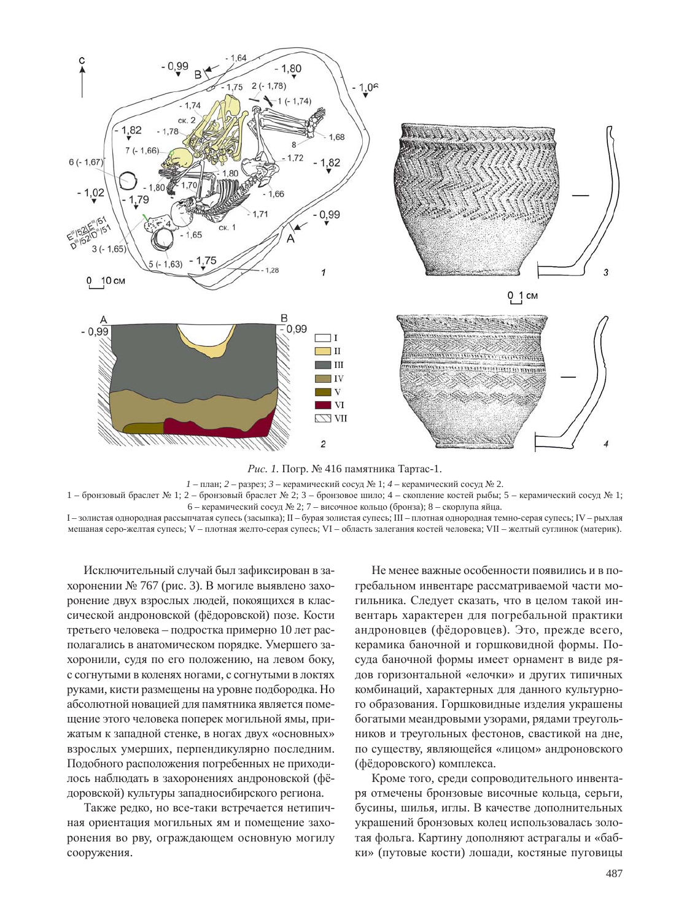

*Рис. 1.* Погр. № 416 памятника Тартас-1.

 $1$  – план; 2 – разрез; 3 – керамический сосуд № 1; 4 – керамический сосуд № 2.

1 – бронзовый браслет № 1; 2 – бронзовый браслет № 2; 3 – бронзовое шило; 4 – скопление костей рыбы; 5 – керамический сосуд № 1; 6 – керамический сосуд № 2; 7 – височное кольцо (бронза); 8 – скорлупа яйца.

I - золистая однородная рассыпчатая супесь (засыпка); II - бурая золистая супесь; III - плотная однородная темно-серая супесь; IV - рыхлая мешаная серо-желтая супесь; V – плотная желто-серая супесь; VI – область залегания костей человека; VII – желтый суглинок (материк).

Исключительный случай был зафиксирован в захоронении № 767 (рис. 3). В могиле выявлено захоронение двух взрослых людей, покоящихся в классической андроновской (фёдоровской) позе. Кости третьего человека – подростка примерно 10 лет располагались в анатомическом порядке. Умершего захоронили, судя по его положению, на левом боку, с согнутыми в коленях ногами, с согнутыми в локтях руками, кисти размещены на уровне подбородка. Но абсолютной новацией для памятника является помещение этого человека поперек могильной ямы, прижатым к западной стенке, в ногах двух «основных» взрослых умерших, перпендикулярно последним. Подобного расположения погребенных не приходилось наблюдать в захоронениях андроновской (фёдоровской) культуры западносибирского региона.

Также редко, но все-таки встречается нетипичная ориентация могильных ям и помещение захоронения во рву, ограждающем основную могилу сооружения.

Не менее важные особенности появились и в погребальном инвентаре рассматриваемой части могильника. Следует сказать, что в целом такой инвентарь характерен для погребальной практики андроновцев (фёдоровцев). Это, прежде всего, керамика баночной и горшковидной формы. Посуда баночной формы имеет орнамент в виде рядов горизонтальной «елочки» и других типичных комбинаций, характерных для данного культурного образования. Горшковидные изделия украшены богатыми меандровыми узорами, рядами треугольников и треугольных фестонов, свастикой на дне, по существу, являющейся «лицом» андроновского (фёдоровского) комплекса.

Кроме того, среди сопроводительного инвентаря отмечены бронзовые височные кольца, серьги, бусины, шилья, иглы. В качестве дополнительных украшений бронзовых колец использовалась золотая фольга. Картину дополняют астрагалы и «бабки» (путовые кости) лошади, костяные пуговицы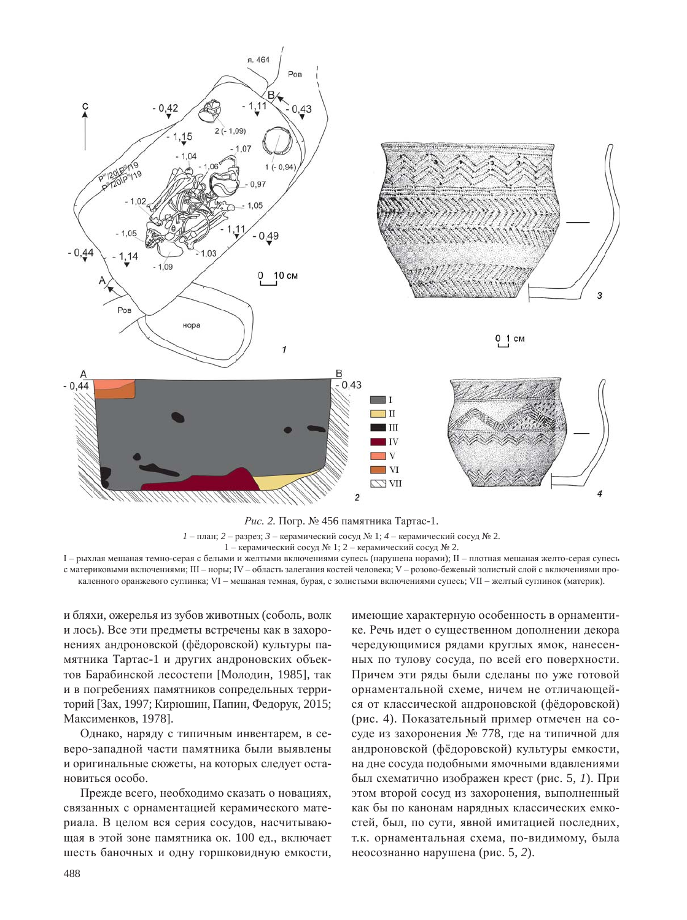



 $1$  – план; 2 – разрез; 3 – керамический сосуд № 1; 4 – керамический сосуд № 2.

 $1$  – керамический сосуд № 1; 2 – керамический сосуд № 2.

I – рыхлая мешаная темно-серая с белыми и желтыми включениями супесь (нарушена норами); II – плотная мешаная желто-серая супесь с материковыми включениями; III – норы; IV – область залегания костей человека; V – розово-бежевый золистый слой с включениями прокаленного оранжевого суглинка; VI – мешаная темная, бурая, с золистыми включениями супесь; VII – желтый суглинок (материк).

и бляхи, ожерелья из зубов животных (соболь, волк и лось). Все эти предметы встречены как в захоронениях андроновской (фёдоровской) культуры памятника Тартас-1 и других андроновских объектов Барабинской лесостепи [Молодин, 1985], так и в погребениях памятников сопредельных территорий [Зах, 1997; Кирюшин, Папин, Федорук, 2015; Максименков, 1978].

Однако, наряду с типичным инвентарем, в северо-западной части памятника были выявлены и оригинальные сюжеты, на которых следует остановиться особо.

Прежде всего, необходимо сказать о новациях, связанных с орнаментацией керамического материала. В целом вся серия сосудов, насчитывающая в этой зоне памятника ок. 100 ед., включает шесть баночных и одну горшковидную емкости,

имеющие характерную особенность в орнаментике. Речь идет о существенном дополнении декора чередующимися рядами круглых ямок, нанесенных по тулову сосуда, по всей его поверхности. Причем эти ряды были сделаны по уже готовой орнаментальной схеме, ничем не отличающейся от классической андроновской (фёдоровской) (рис. 4). Показательный пример отмечен на сосуде из захоронения № 778, где на типичной для андроновской (фёдоровской) культуры емкости, на дне сосуда подобными ямочными вдавлениями был схематично изображен крест (рис. 5, 1). При этом второй сосуд из захоронения, выполненный как бы по канонам нарядных классических емкостей, был, по сути, явной имитацией последних, т.к. орнаментальная схема, по-видимому, была неосознанно нарушена (рис. 5, 2).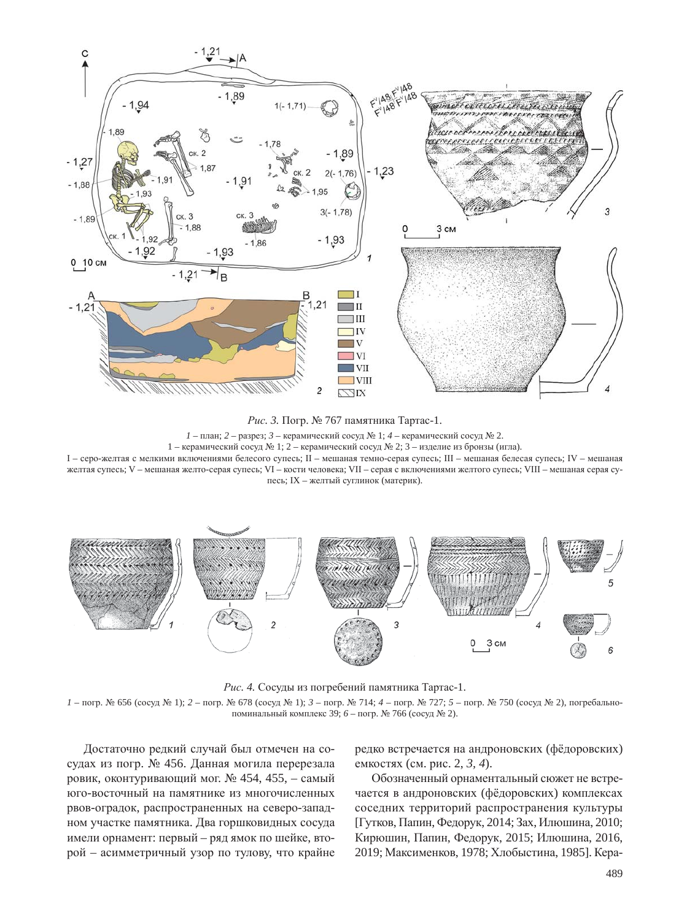

Рис. 3. Погр. № 767 памятника Тартас-1.

 $1$  – план; 2 – разрез; 3 – керамический сосуд № 1;  $4$  – керамический сосуд № 2.

1 – керамический сосуд № 1; 2 – керамический сосуд № 2; 3 – изделие из бронзы (игла).

I – серо-желтая с мелкими включениями белесого супесь; II – мешаная темно-серая супесь; III – мешаная белесая супесь; IV – мешаная желтая супесь; V – мешаная желто-серая супесь; VI – кости человека; VII – серая с включениями желтого супесь; VIII – мешаная серая супесь; IX – желтый суглинок (материк).



Рис. 4. Сосуды из погребений памятника Тартас-1.

*1* – погр. № 656 (сосуд № 1); *2* – погр. № 678 (сосуд № 1); *3* – погр. № 714; *4* – погр. № 727; *5* – погр. № 750 (сосуд № 2), погребальнопоминальный комплекс 39; 6 – погр. № 766 (сосуд № 2).

Достаточно редкий случай был отмечен на сосудах из погр. № 456. Данная могила перерезала ровик, оконтуривающий мог.  $N_2$  454, 455, – самый юго-восточный на памятнике из многочисленных рвов-оградок, распространенных на северо-западном участке памятника. Два горшковидных сосуда имели орнамент: первый – ряд ямок по шейке, второй – асимметричный узор по тулову, что крайне

редко встречается на андроновских (фёдоровских) емкостях (см. рис. 2, 3, 4).

Обозначенный орнаментальный сюжет не встречается в андроновских (фёдоровских) комплексах соседних территорий распространения культуры [Гутков, Папин, Федорук, 2014; Зах, Илюшина, 2010; Кирюшин, Папин, Федорук, 2015; Илюшина, 2016, 2019; Максименков, 1978; Хлобыстина, 1985]. Кера-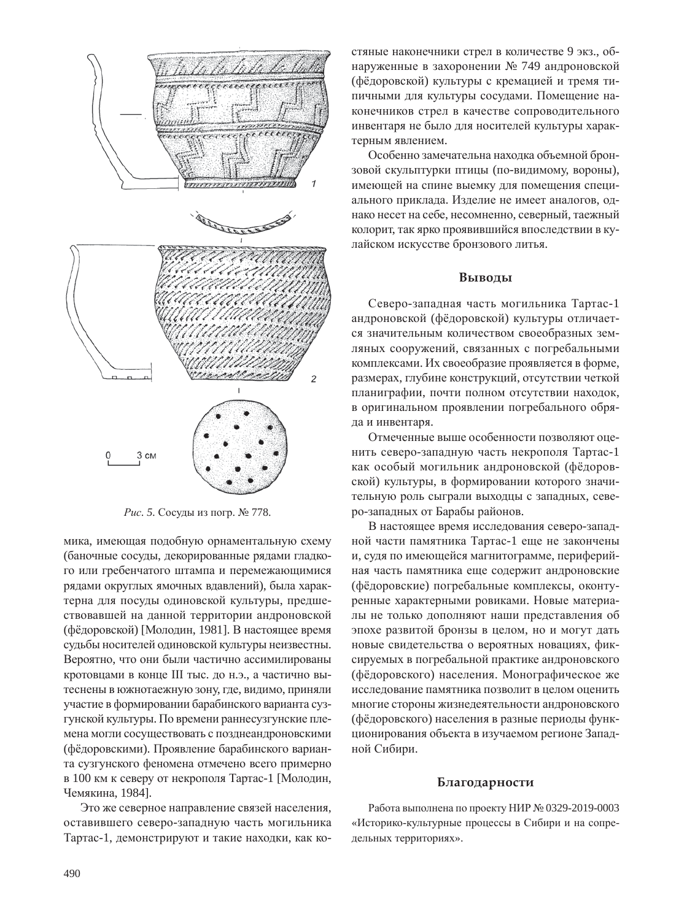

Рис. 5. Сосуды из погр. № 778.

мика, имеющая подобную орнаментальную схему (баночные сосуды, декорированные рядами гладкого или гребенчатого штампа и перемежающимися рядами округлых ямочных вдавлений), была характерна для посуды одиновской культуры, предшествовавшей на данной территории андроновской (фёдоровской) [Молодин, 1981]. В настоящее время судьбы носителей одиновской культуры неизвестны. Вероятно, что они были частично ассимилированы кротовцами в конце III тыс. до н.э., а частично вытеснены в южнотаежную зону, где, видимо, приняли участие в формировании барабинского варианта сузгунской культуры. По времени раннесузгунские племена могли сосуществовать с позднеандроновскими (фёдоровскими). Проявление барабинского варианта сузгунского феномена отмечено всего примерно в 100 км к северу от некрополя Тартас-1 [Молодин, Чемякина, 1984].

Это же северное направление связей населения, оставившего северо-западную часть могильника Тартас-1, демонстрируют и такие находки, как костяные наконечники стрел в количестве 9 экз., обнаруженные в захоронении № 749 андроновской (фёдоровской) культуры с кремацией и тремя типичными для культуры сосудами. Помещение наконечников стрел в качестве сопроводительного инвентаря не было для носителей культуры характерным явлением.

Особенно замечательна находка объемной бронзовой скульптурки птицы (по-видимому, вороны), имеющей на спине выемку для помещения специального приклада. Изделие не имеет аналогов, однако несет на себе, несомненно, северный, таежный колорит, так ярко проявившийся впоследствии в кулайском искусстве бронзового литья.

#### **ǰȩȐȜȒȩ**

Северо-западная часть могильника Тартас-1 андроновской (фёдоровской) культуры отличается значительным количеством своеобразных земляных сооружений, связанных с погребальными комплексами. Их своеобразие проявляется в форме, размерах, глубине конструкций, отсутствии четкой планиграфии, почти полном отсутствии находок, в оригинальном проявлении погребального обряда и инвентаря.

Отмеченные выше особенности позволяют оценить северо-западную часть некрополя Тартас-1 как особый могильник андроновской (фёдоровской) культуры, в формировании которого значительную роль сыграли выходцы с западных, северо-западных от Барабы районов.

В настоящее время исследования северо-западной части памятника Тартас-1 еще не закончены и, судя по имеющейся магнитограмме, периферийная часть памятника еще содержит андроновские (фёдоровские) погребальные комплексы, оконтуренные характерными ровиками. Новые материалы не только дополняют наши представления об эпохе развитой бронзы в целом, но и могут дать новые свидетельства о вероятных новациях, фиксируемых в погребальной практике андроновского (фёдоровского) населения. Монографическое же исследование памятника позволит в целом оценить многие стороны жизнедеятельности андроновского (фёдоровского) населения в разные периоды функционирования объекта в изучаемом регионе Западной Сибири.

# **Благодарности**

Работа выполнена по проекту НИР № 0329-2019-0003 «Историко-культурные процессы в Сибири и на сопредельных территориях».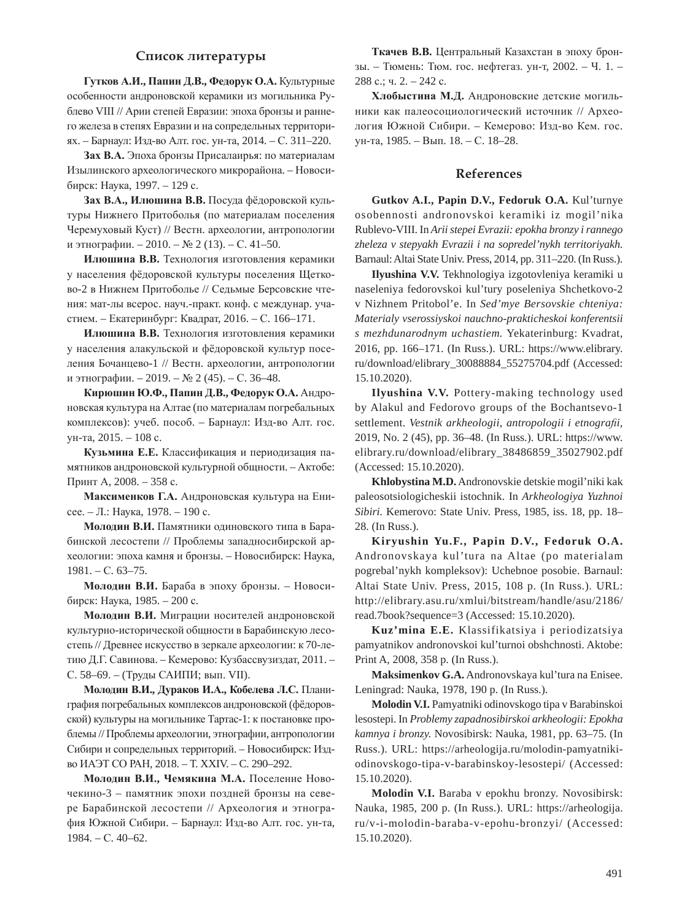### Список литературы

 $\Gamma$ VTК0В А.И., Папин Д.В., Федорук О.А. Культурные особенности андроновской керамики из могильника Рублево VIII // Арии степей Евразии: эпоха бронзы и раннего железа в степях Евразии и на сопредельных территориях. – Барнаул: Изд-во Алт. гос. ун-та, 2014. – С. 311–220.

Зах В.А. Эпоха бронзы Присалаирья: по материалам Изылинского археологического микрорайона. – Новосибирск: Наука, 1997. – 129 с.

Зах В.А., Илюшина В.В. Посуда фёдоровской культуры Нижнего Притоболья (по материалам поселения Черемуховый Куст) // Вестн. археологии, антропологии и этнографии. – 2010. – № 2 (13). – С. 41–50.

**Илюшина В.В.** Технология изготовления керамики у населения фёдоровской культуры поселения Щетково-2 в Нижнем Притоболье // Седьмые Берсовские чтения: мат-лы всерос. науч.-практ. конф. с междунар. участием. – Екатеринбург: Квалрат, 2016. – С. 166–171.

Илюшина В.В. Технология изготовления керамики у населения алакульской и фёдоровской культур поселения Бочанцево-1 // Вестн. археологии, антропологии и этнографии. – 2019. – № 2 (45). – С. 36–48.

 $\mathbf{K}\mathbf{u}$ рюшин Ю.Ф., Папин Д.В., Федорук О.А. Андроновская культура на Алтае (по материалам погребальных комплексов): учеб. пособ. – Барнаул: Изд-во Алт. гос. ун-та, 2015. – 108 с.

Кузьмина Е.Е. Классификация и периодизация памятников андроновской культурной общности. – Актобе: Принт А, 2008. – 358 с.

Максименков Г.А. Андроновская культура на Енисее. – Л.: Наука, 1978. – 190 с.

Молодин В.И. Памятники одиновского типа в Барабинской лесостепи // Проблемы западносибирской археологии: эпоха камня и бронзы. – Новосибирск: Наука,  $1981. - C. 63 - 75.$ 

Молодин В.И. Бараба в эпоху бронзы. – Новосибирск: Наука, 1985. – 200 с.

Молодин В.И. Миграции носителей андроновской культурно-исторической общности в Барабинскую лесостепь // Древнее искусство в зеркале археологии: к 70-летию Д.Г. Савинова. – Кемерово: Кузбассвузиздат, 2011. – С. 58–69. – (Труды САИПИ; вып. VII).

**Молодин В.И., Дураков И.А., Кобелева Л.С. Плани**графия погребальных комплексов андроновской (фёдоровской) культуры на могильнике Тартас-1: к постановке проблемы // Проблемы археологии, этнографии, антропологии Сибири и сопредельных территорий. – Новосибирск: Издво ИАЭТ СО РАН, 2018. – Т. XXIV. – С. 290–292.

**Молодин В.И., Чемякина М.А.** Поселение Новочекино-3 – памятник эпохи поздней бронзы на севере Барабинской лесостепи // Археология и этнография Южной Сибири. – Барнаул: Изд-во Алт. гос. ун-та,  $1984. - C. 40 - 62.$ 

Ткачев В.В. Центральный Казахстан в эпоху бронзы. – Тюмень: Тюм. гос. нефтегаз. ун-т, 2002. – Ч. 1. – 288 с.; ч. 2. – 242 с.

Хлобыстина М.Д. Андроновские детские могильники как палеосоциологический источник // Археология Южной Сибири. – Кемерово: Изд-во Кем. гос. үн-та, 1985. – Вып. 18. – С. 18–28.

## **References**

**Gutkov A.I., Papin D.V., Fedoruk O.A.** Kul'turnye osobennosti andronovskoi keramiki iz mogil'nika Rublevo-VIII. In *Arii stepei Evrazii: epokha bronzy i rannego zheleza v stepyakh Evrazii i na sopredel'nykh territoriyakh.*  Barnaul: Altai State Univ. Press, 2014, pp. 311–220. (In Russ.).

**Ilyushina V.V.** Tekhnologiya izgotovleniya keramiki u naseleniya fedorovskoi kul'tury poseleniya Shchetkovo-2 v Nizhnem Pritobol'e. In *Sed'mye Bersovskie chteniya: Materialy vserossiyskoi nauchno-prakticheskoi konferentsii s mezhdunarodnym uchastiem.* Yekaterinburg: Kvadrat, 2016, pp. 166–171. (In Russ.). URL: https://www.elibrary. ru/download/elibrary\_30088884\_55275704.pdf (Accessed: 15.10.2020).

**Ilyushina V.V.** Pottery-making technology used by Alakul and Fedorovo groups of the Bochantsevo-1 settlement. *Vestnik arkheologii, antropologii i etnografii,* 2019, No. 2 (45), pp. 36–48. (In Russ.). URL: https://www. elibrary.ru/download/elibrary\_38486859\_35027902.pdf (Accessed: 15.10.2020).

**Khlobystina M.D.** Andronovskie detskie mogil'niki kak paleosotsiologicheskii istochnik. In *Arkheologiya Yuzhnoi Sibiri.* Kemerovo: State Univ. Press, 1985, iss. 18, pp. 18– 28. (In Russ.).

**Kiryushin Yu.F., Papin D.V., Fedoruk O.A.**  Andronovskaya kul'tura na Altae (po materialam pogrebal'nykh kompleksov): Uchebnoe posobie. Barnaul: Altai State Univ. Press, 2015, 108 p. (In Russ.). URL: http://elibrary.asu.ru/xmlui/bitstream/handle/asu/2186/ read.7book?sequence=3 (Accessed: 15.10.2020).

**Kuz'mina E.E.** Klassifikatsiya i periodizatsiya pamyatnikov andronovskoi kul'turnoi obshchnosti. Aktobe: Print A, 2008, 358 p. (In Russ.).

**Maksimenkov G.A.** Andronovskaya kul'tura na Enisee. Leningrad: Nauka, 1978, 190 p. (In Russ.).

**Molodin V.I.** Pamyatniki odinovskogo tipa v Barabinskoi lesostepi. In *Problemy zapadnosibirskoi arkheologii: Epokha kamnya i bronzy.* Novosibirsk: Nauka, 1981, pp. 63–75. (In Russ.). URL: https://arheologija.ru/molodin-pamyatnikiodinovskogo-tipa-v-barabinskoy-lesostepi/ (Accessed: 15.10.2020).

**Molodin V.I.** Baraba v epokhu bronzy. Novosibirsk: Nauka, 1985, 200 p. (In Russ.). URL: https://arheologija. ru/v-i-molodin-baraba-v-epohu-bronzyi/ (Accessed: 15.10.2020).